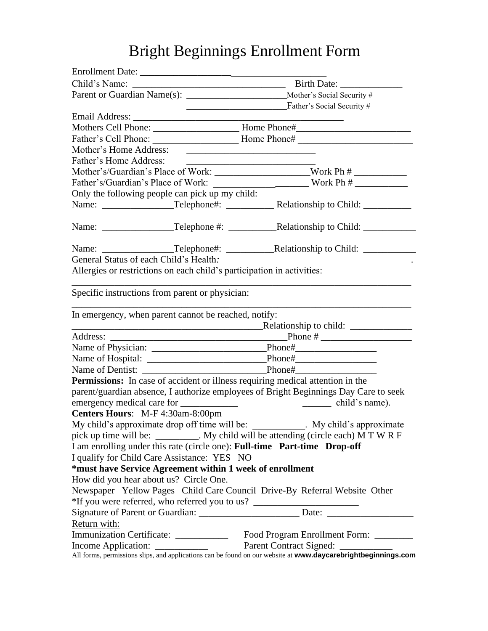# Bright Beginnings Enrollment Form

|                                                          | Father's Social Security #                                                                          |  |  |
|----------------------------------------------------------|-----------------------------------------------------------------------------------------------------|--|--|
|                                                          |                                                                                                     |  |  |
|                                                          | Mothers Cell Phone: ___________________________Home Phone#_______________________                   |  |  |
|                                                          |                                                                                                     |  |  |
| Mother's Home Address:                                   |                                                                                                     |  |  |
| Father's Home Address:                                   |                                                                                                     |  |  |
|                                                          | Mother's/Guardian's Place of Work: ________________________Work Ph # ___________                    |  |  |
| Father's/Guardian's Place of Work:                       | $\frac{1}{2}$ Work Ph $\#$                                                                          |  |  |
| Only the following people can pick up my child:          |                                                                                                     |  |  |
|                                                          |                                                                                                     |  |  |
|                                                          |                                                                                                     |  |  |
|                                                          | Name: ______________________Telephone#: _________________Relationship to Child: ___________________ |  |  |
| General Status of each Child's Health.                   | Allergies or restrictions on each child's participation in activities:                              |  |  |
| Specific instructions from parent or physician:          |                                                                                                     |  |  |
| In emergency, when parent cannot be reached, notify:     |                                                                                                     |  |  |
|                                                          | <u>Relationship</u> to child:                                                                       |  |  |
|                                                          |                                                                                                     |  |  |
|                                                          |                                                                                                     |  |  |
|                                                          |                                                                                                     |  |  |
|                                                          |                                                                                                     |  |  |
|                                                          | <b>Permissions:</b> In case of accident or illness requiring medical attention in the               |  |  |
|                                                          | parent/guardian absence, I authorize employees of Bright Beginnings Day Care to seek                |  |  |
|                                                          |                                                                                                     |  |  |
| Centers Hours: M-F 4:30am-8:00pm                         |                                                                                                     |  |  |
|                                                          | My child's approximate drop off time will be: ____________. My child's approximate                  |  |  |
|                                                          | pick up time will be: _________. My child will be attending (circle each) M T W R F                 |  |  |
|                                                          | I am enrolling under this rate (circle one): Full-time Part-time Drop-off                           |  |  |
| I qualify for Child Care Assistance: YES NO              |                                                                                                     |  |  |
| *must have Service Agreement within 1 week of enrollment |                                                                                                     |  |  |
| How did you hear about us? Circle One.                   |                                                                                                     |  |  |
|                                                          | Newspaper Yellow Pages Child Care Council Drive-By Referral Website Other                           |  |  |
|                                                          | *If you were referred, who referred you to us?                                                      |  |  |
|                                                          |                                                                                                     |  |  |
| Return with:                                             |                                                                                                     |  |  |
|                                                          |                                                                                                     |  |  |
|                                                          |                                                                                                     |  |  |
|                                                          |                                                                                                     |  |  |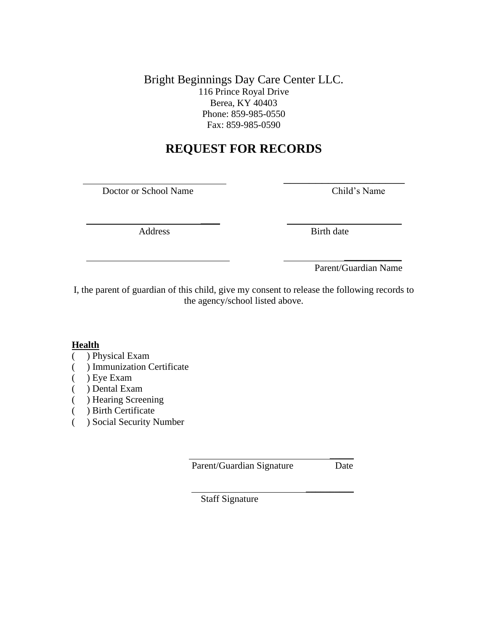Bright Beginnings Day Care Center LLC. 116 Prince Royal Drive Berea, KY 40403 Phone: 859-985-0550 Fax: 859-985-0590

# **REQUEST FOR RECORDS**

Doctor or School Name Child's Name

 \_\_\_ Address Birth date

\_\_\_\_\_\_\_\_\_\_\_\_\_\_\_\_\_\_\_

 $\frac{1}{\sqrt{2}}$  ,  $\frac{1}{\sqrt{2}}$  ,  $\frac{1}{\sqrt{2}}$  ,  $\frac{1}{\sqrt{2}}$  ,  $\frac{1}{\sqrt{2}}$  ,  $\frac{1}{\sqrt{2}}$  ,  $\frac{1}{\sqrt{2}}$  ,  $\frac{1}{\sqrt{2}}$  ,  $\frac{1}{\sqrt{2}}$  ,  $\frac{1}{\sqrt{2}}$  ,  $\frac{1}{\sqrt{2}}$  ,  $\frac{1}{\sqrt{2}}$  ,  $\frac{1}{\sqrt{2}}$  ,  $\frac{1}{\sqrt{2}}$  ,  $\frac{1}{\sqrt{2}}$ Parent/Guardian Name

I, the parent of guardian of this child, give my consent to release the following records to the agency/school listed above.

# **Health**

# ( ) Physical Exam

- ( ) Immunization Certificate
- ( ) Eye Exam
- ( ) Dental Exam
- ( ) Hearing Screening
- ( ) Birth Certificate
- ( ) Social Security Number

Parent/Guardian Signature Date

 $\frac{1}{2}$ 

 $\frac{1}{2}$  ,  $\frac{1}{2}$  ,  $\frac{1}{2}$  ,  $\frac{1}{2}$  ,  $\frac{1}{2}$  ,  $\frac{1}{2}$  ,  $\frac{1}{2}$  ,  $\frac{1}{2}$ 

Staff Signature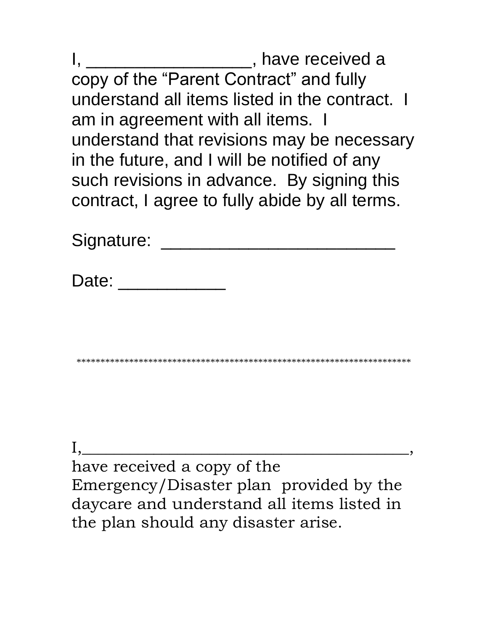I, \_\_\_\_\_\_\_\_\_\_\_\_\_\_\_\_\_\_\_\_\_, have received a copy of the "Parent Contract" and fully understand all items listed in the contract. I am in agreement with all items. I understand that revisions may be necessary in the future, and I will be notified of any such revisions in advance. By signing this contract, I agree to fully abide by all terms.

Signature: \_\_\_\_\_\_\_\_\_\_\_\_\_\_\_\_\_\_\_\_\_\_\_\_

Date: \_\_\_\_\_\_\_\_\_\_\_\_\_\_\_

\*\*\*\*\*\*\*\*\*\*\*\*\*\*\*\*\*\*\*\*\*\*\*\*\*\*\*\*\*\*\*\*\*\*\*\*\*\*\*\*\*\*\*\*\*\*\*\*\*\*\*\*\*\*\*\*\*\*\*\*\*\*\*\*\*\*\*\*\*\*

 $\mathbf{I},\mathbf{I}$ have received a copy of the Emergency/Disaster plan provided by the daycare and understand all items listed in the plan should any disaster arise.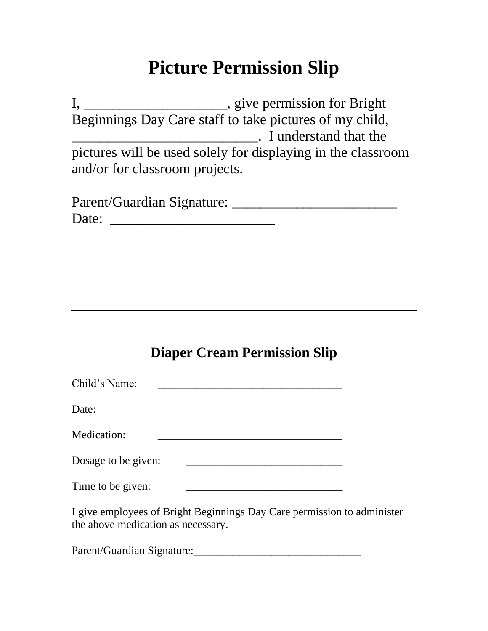# **Picture Permission Slip**

I, \_\_\_\_\_\_\_\_\_\_\_\_\_\_\_\_\_\_\_\_\_\_\_, give permission for Bright Beginnings Day Care staff to take pictures of my child, **The Common Common Common Common Common Common Common Common Common Common Common Common Common Common Common Common Common Common Common Common Common Common Common Common Common Common Common Common Common Common Common** pictures will be used solely for displaying in the classroom and/or for classroom projects.

| Parent/Guardian Signature: |  |
|----------------------------|--|
| Date:                      |  |

# **Diaper Cream Permission Slip**

| Child's Name:                                                                                                 |  |  |  |  |  |  |
|---------------------------------------------------------------------------------------------------------------|--|--|--|--|--|--|
| Date:                                                                                                         |  |  |  |  |  |  |
| Medication:                                                                                                   |  |  |  |  |  |  |
| Dosage to be given:                                                                                           |  |  |  |  |  |  |
| Time to be given:                                                                                             |  |  |  |  |  |  |
| I give employees of Bright Beginnings Day Care permission to administer<br>the above medication as necessary. |  |  |  |  |  |  |
| Parent/Guardian Signature:                                                                                    |  |  |  |  |  |  |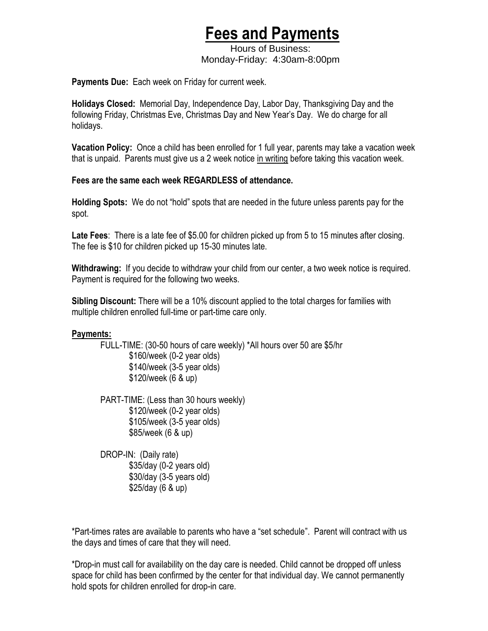# **Fees and Payments**

 Hours of Business: Monday-Friday: 4:30am-8:00pm

**Payments Due:** Each week on Friday for current week.

**Holidays Closed:** Memorial Day, Independence Day, Labor Day, Thanksgiving Day and the following Friday, Christmas Eve, Christmas Day and New Year's Day. We do charge for all holidays.

**Vacation Policy:** Once a child has been enrolled for 1 full year, parents may take a vacation week that is unpaid. Parents must give us a 2 week notice in writing before taking this vacation week.

# **Fees are the same each week REGARDLESS of attendance.**

**Holding Spots:** We do not "hold" spots that are needed in the future unless parents pay for the spot.

**Late Fees**: There is a late fee of \$5.00 for children picked up from 5 to 15 minutes after closing. The fee is \$10 for children picked up 15-30 minutes late.

**Withdrawing:** If you decide to withdraw your child from our center, a two week notice is required. Payment is required for the following two weeks.

**Sibling Discount:** There will be a 10% discount applied to the total charges for families with multiple children enrolled full-time or part-time care only.

# **Payments:**

FULL-TIME: (30-50 hours of care weekly) \*All hours over 50 are \$5/hr \$160/week (0-2 year olds) \$140/week (3-5 year olds) \$120/week (6 & up)

PART-TIME: (Less than 30 hours weekly) \$120/week (0-2 year olds) \$105/week (3-5 year olds) \$85/week (6 & up)

DROP-IN: (Daily rate) \$35/day (0-2 years old) \$30/day (3-5 years old) \$25/day (6 & up)

\*Part-times rates are available to parents who have a "set schedule". Parent will contract with us the days and times of care that they will need.

\*Drop-in must call for availability on the day care is needed. Child cannot be dropped off unless space for child has been confirmed by the center for that individual day. We cannot permanently hold spots for children enrolled for drop-in care.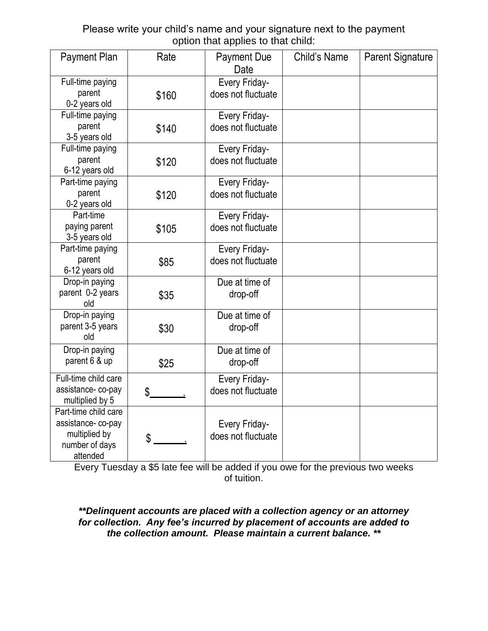Please write your child's name and your signature next to the payment option that applies to that child:

| Payment Plan                                                                             | Rate  | <b>Payment Due</b><br>Date                 | Child's Name | <b>Parent Signature</b> |
|------------------------------------------------------------------------------------------|-------|--------------------------------------------|--------------|-------------------------|
| Full-time paying<br>parent<br>0-2 years old                                              | \$160 | Every Friday-<br>does not fluctuate        |              |                         |
| Full-time paying<br>parent<br>3-5 years old                                              | \$140 | Every Friday-<br>does not fluctuate        |              |                         |
| Full-time paying<br>parent<br>6-12 years old                                             | \$120 | Every Friday-<br>does not fluctuate        |              |                         |
| Part-time paying<br>parent<br>0-2 years old                                              | \$120 | Every Friday-<br>does not fluctuate        |              |                         |
| Part-time<br>paying parent<br>3-5 years old                                              | \$105 | Every Friday-<br>does not fluctuate        |              |                         |
| Part-time paying<br>parent<br>6-12 years old                                             | \$85  | Every Friday-<br>does not fluctuate        |              |                         |
| Drop-in paying<br>parent 0-2 years<br>old                                                | \$35  | Due at time of<br>drop-off                 |              |                         |
| Drop-in paying<br>parent 3-5 years<br>old                                                | \$30  | Due at time of<br>drop-off                 |              |                         |
| Drop-in paying<br>parent 6 & up                                                          | \$25  | Due at time of<br>drop-off                 |              |                         |
| Full-time child care<br>assistance-co-pay<br>multiplied by 5                             | \$    | <b>Every Friday-</b><br>does not fluctuate |              |                         |
| Part-time child care<br>assistance-co-pay<br>multiplied by<br>number of days<br>attended | \$    | <b>Every Friday-</b><br>does not fluctuate |              |                         |

Every Tuesday a \$5 late fee will be added if you owe for the previous two weeks of tuition.

*\*\*Delinquent accounts are placed with a collection agency or an attorney for collection. Any fee's incurred by placement of accounts are added to the collection amount. Please maintain a current balance. \*\**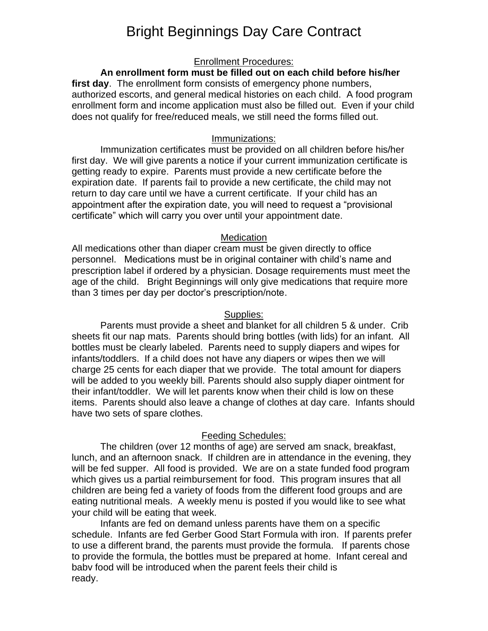# Bright Beginnings Day Care Contract

#### Enrollment Procedures:

## **An enrollment form must be filled out on each child before his/her**

**first day**. The enrollment form consists of emergency phone numbers, authorized escorts, and general medical histories on each child. A food program enrollment form and income application must also be filled out. Even if your child does not qualify for free/reduced meals, we still need the forms filled out.

#### Immunizations:

Immunization certificates must be provided on all children before his/her first day. We will give parents a notice if your current immunization certificate is getting ready to expire. Parents must provide a new certificate before the expiration date. If parents fail to provide a new certificate, the child may not return to day care until we have a current certificate. If your child has an appointment after the expiration date, you will need to request a "provisional certificate" which will carry you over until your appointment date.

#### **Medication**

All medications other than diaper cream must be given directly to office personnel. Medications must be in original container with child's name and prescription label if ordered by a physician. Dosage requirements must meet the age of the child. Bright Beginnings will only give medications that require more than 3 times per day per doctor's prescription/note.

#### Supplies:

Parents must provide a sheet and blanket for all children 5 & under. Crib sheets fit our nap mats. Parents should bring bottles (with lids) for an infant. All bottles must be clearly labeled. Parents need to supply diapers and wipes for infants/toddlers. If a child does not have any diapers or wipes then we will charge 25 cents for each diaper that we provide. The total amount for diapers will be added to you weekly bill. Parents should also supply diaper ointment for their infant/toddler. We will let parents know when their child is low on these items. Parents should also leave a change of clothes at day care. Infants should have two sets of spare clothes.

#### Feeding Schedules:

The children (over 12 months of age) are served am snack, breakfast, lunch, and an afternoon snack. If children are in attendance in the evening, they will be fed supper. All food is provided. We are on a state funded food program which gives us a partial reimbursement for food. This program insures that all children are being fed a variety of foods from the different food groups and are eating nutritional meals. A weekly menu is posted if you would like to see what your child will be eating that week.

Infants are fed on demand unless parents have them on a specific schedule. Infants are fed Gerber Good Start Formula with iron. If parents prefer to use a different brand, the parents must provide the formula. If parents chose to provide the formula, the bottles must be prepared at home. Infant cereal and babv food will be introduced when the parent feels their child is ready.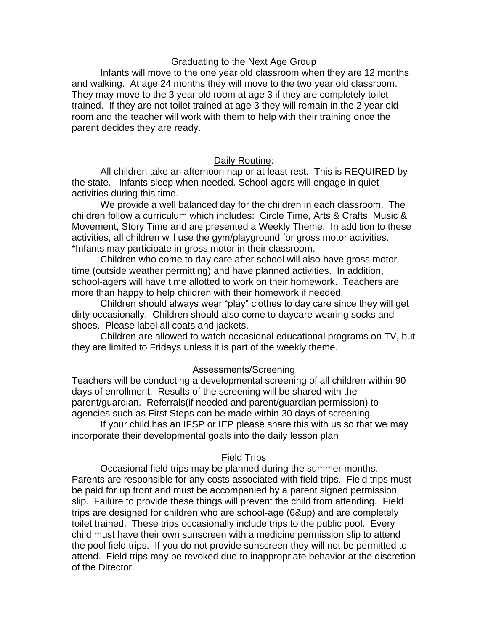## Graduating to the Next Age Group

Infants will move to the one year old classroom when they are 12 months and walking. At age 24 months they will move to the two year old classroom. They may move to the 3 year old room at age 3 if they are completely toilet trained. If they are not toilet trained at age 3 they will remain in the 2 year old room and the teacher will work with them to help with their training once the parent decides they are ready.

# Daily Routine:

All children take an afternoon nap or at least rest. This is REQUIRED by the state. Infants sleep when needed. School-agers will engage in quiet activities during this time.

We provide a well balanced day for the children in each classroom. The children follow a curriculum which includes: Circle Time, Arts & Crafts, Music & Movement, Story Time and are presented a Weekly Theme. In addition to these activities, all children will use the gym/playground for gross motor activities. \*Infants may participate in gross motor in their classroom.

Children who come to day care after school will also have gross motor time (outside weather permitting) and have planned activities. In addition, school-agers will have time allotted to work on their homework. Teachers are more than happy to help children with their homework if needed.

Children should always wear "play" clothes to day care since they will get dirty occasionally. Children should also come to daycare wearing socks and shoes. Please label all coats and jackets.

Children are allowed to watch occasional educational programs on TV, but they are limited to Fridays unless it is part of the weekly theme.

### Assessments/Screening

Teachers will be conducting a developmental screening of all children within 90 days of enrollment. Results of the screening will be shared with the parent/guardian. Referrals(if needed and parent/guardian permission) to agencies such as First Steps can be made within 30 days of screening.

If your child has an IFSP or IEP please share this with us so that we may incorporate their developmental goals into the daily lesson plan

### Field Trips

Occasional field trips may be planned during the summer months. Parents are responsible for any costs associated with field trips. Field trips must be paid for up front and must be accompanied by a parent signed permission slip. Failure to provide these things will prevent the child from attending. Field trips are designed for children who are school-age (6&up) and are completely toilet trained. These trips occasionally include trips to the public pool. Every child must have their own sunscreen with a medicine permission slip to attend the pool field trips. If you do not provide sunscreen they will not be permitted to attend. Field trips may be revoked due to inappropriate behavior at the discretion of the Director.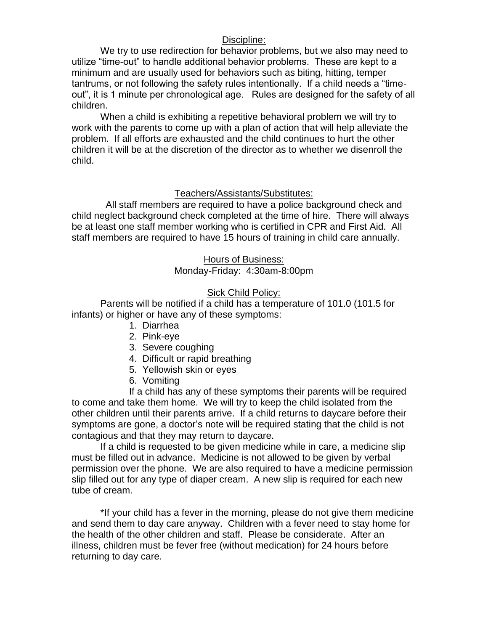# Discipline:

We try to use redirection for behavior problems, but we also may need to utilize "time-out" to handle additional behavior problems. These are kept to a minimum and are usually used for behaviors such as biting, hitting, temper tantrums, or not following the safety rules intentionally. If a child needs a "timeout", it is 1 minute per chronological age. Rules are designed for the safety of all children.

When a child is exhibiting a repetitive behavioral problem we will try to work with the parents to come up with a plan of action that will help alleviate the problem. If all efforts are exhausted and the child continues to hurt the other children it will be at the discretion of the director as to whether we disenroll the child.

# Teachers/Assistants/Substitutes:

 All staff members are required to have a police background check and child neglect background check completed at the time of hire. There will always be at least one staff member working who is certified in CPR and First Aid. All staff members are required to have 15 hours of training in child care annually.

> Hours of Business: Monday-Friday: 4:30am-8:00pm

# Sick Child Policy:

Parents will be notified if a child has a temperature of 101.0 (101.5 for infants) or higher or have any of these symptoms:

- 1. Diarrhea
- 2. Pink-eye
- 3. Severe coughing
- 4. Difficult or rapid breathing
- 5. Yellowish skin or eyes
- 6. Vomiting

If a child has any of these symptoms their parents will be required to come and take them home. We will try to keep the child isolated from the other children until their parents arrive. If a child returns to daycare before their symptoms are gone, a doctor's note will be required stating that the child is not contagious and that they may return to daycare.

If a child is requested to be given medicine while in care, a medicine slip must be filled out in advance. Medicine is not allowed to be given by verbal permission over the phone. We are also required to have a medicine permission slip filled out for any type of diaper cream. A new slip is required for each new tube of cream.

\*If your child has a fever in the morning, please do not give them medicine and send them to day care anyway. Children with a fever need to stay home for the health of the other children and staff. Please be considerate. After an illness, children must be fever free (without medication) for 24 hours before returning to day care.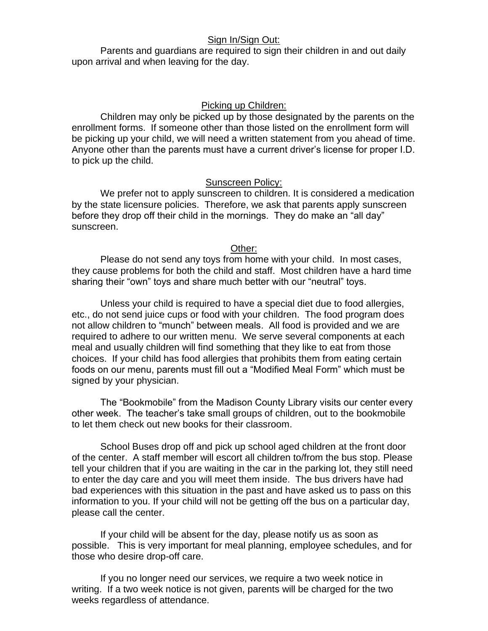## Sign In/Sign Out:

Parents and guardians are required to sign their children in and out daily upon arrival and when leaving for the day.

### Picking up Children:

Children may only be picked up by those designated by the parents on the enrollment forms. If someone other than those listed on the enrollment form will be picking up your child, we will need a written statement from you ahead of time. Anyone other than the parents must have a current driver's license for proper I.D. to pick up the child.

### Sunscreen Policy:

We prefer not to apply sunscreen to children. It is considered a medication by the state licensure policies. Therefore, we ask that parents apply sunscreen before they drop off their child in the mornings. They do make an "all day" sunscreen.

### Other:

Please do not send any toys from home with your child. In most cases, they cause problems for both the child and staff. Most children have a hard time sharing their "own" toys and share much better with our "neutral" toys.

Unless your child is required to have a special diet due to food allergies, etc., do not send juice cups or food with your children. The food program does not allow children to "munch" between meals. All food is provided and we are required to adhere to our written menu. We serve several components at each meal and usually children will find something that they like to eat from those choices. If your child has food allergies that prohibits them from eating certain foods on our menu, parents must fill out a "Modified Meal Form" which must be signed by your physician.

The "Bookmobile" from the Madison County Library visits our center every other week. The teacher's take small groups of children, out to the bookmobile to let them check out new books for their classroom.

School Buses drop off and pick up school aged children at the front door of the center. A staff member will escort all children to/from the bus stop. Please tell your children that if you are waiting in the car in the parking lot, they still need to enter the day care and you will meet them inside. The bus drivers have had bad experiences with this situation in the past and have asked us to pass on this information to you. If your child will not be getting off the bus on a particular day, please call the center.

If your child will be absent for the day, please notify us as soon as possible. This is very important for meal planning, employee schedules, and for those who desire drop-off care.

If you no longer need our services, we require a two week notice in writing. If a two week notice is not given, parents will be charged for the two weeks regardless of attendance.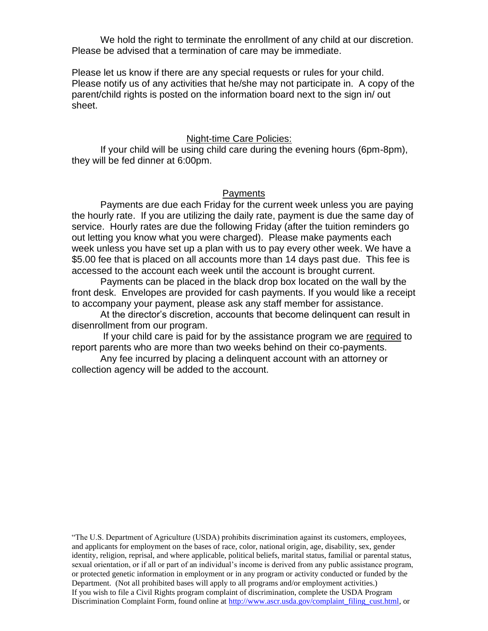We hold the right to terminate the enrollment of any child at our discretion. Please be advised that a termination of care may be immediate.

Please let us know if there are any special requests or rules for your child. Please notify us of any activities that he/she may not participate in. A copy of the parent/child rights is posted on the information board next to the sign in/ out sheet.

#### Night-time Care Policies:

If your child will be using child care during the evening hours (6pm-8pm), they will be fed dinner at 6:00pm.

#### **Payments**

Payments are due each Friday for the current week unless you are paying the hourly rate. If you are utilizing the daily rate, payment is due the same day of service. Hourly rates are due the following Friday (after the tuition reminders go out letting you know what you were charged). Please make payments each week unless you have set up a plan with us to pay every other week. We have a \$5.00 fee that is placed on all accounts more than 14 days past due. This fee is accessed to the account each week until the account is brought current.

Payments can be placed in the black drop box located on the wall by the front desk. Envelopes are provided for cash payments. If you would like a receipt to accompany your payment, please ask any staff member for assistance.

At the director's discretion, accounts that become delinquent can result in disenrollment from our program.

If your child care is paid for by the assistance program we are required to report parents who are more than two weeks behind on their co-payments.

Any fee incurred by placing a delinquent account with an attorney or collection agency will be added to the account.

"The U.S. Department of Agriculture (USDA) prohibits discrimination against its customers, employees, and applicants for employment on the bases of race, color, national origin, age, disability, sex, gender identity, religion, reprisal, and where applicable, political beliefs, marital status, familial or parental status, sexual orientation, or if all or part of an individual's income is derived from any public assistance program, or protected genetic information in employment or in any program or activity conducted or funded by the Department. (Not all prohibited bases will apply to all programs and/or employment activities.) If you wish to file a Civil Rights program complaint of discrimination, complete the USDA Program Discrimination Complaint Form, found online at [http://www.ascr.usda.gov/complaint\\_filing\\_cust.html,](http://www.ascr.usda.gov/complaint_filing_cust.html) or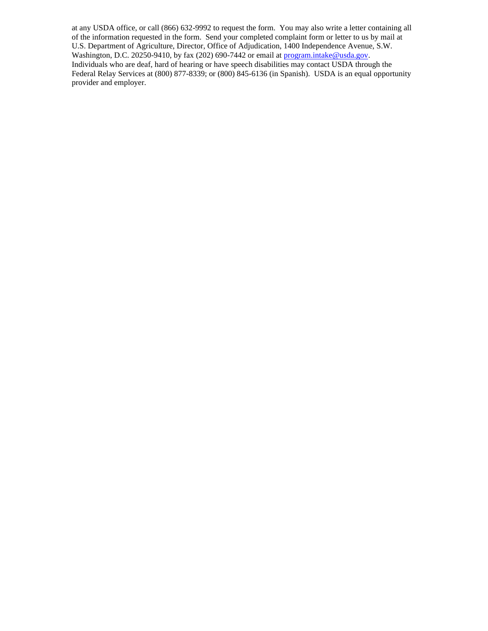at any USDA office, or call (866) 632-9992 to request the form. You may also write a letter containing all of the information requested in the form. Send your completed complaint form or letter to us by mail at U.S. Department of Agriculture, Director, Office of Adjudication, 1400 Independence Avenue, S.W. Washington, D.C. 20250-9410, by fax (202) 690-7442 or email at [program.intake@usda.gov.](mailto:program.intake@usda.gov) Individuals who are deaf, hard of hearing or have speech disabilities may contact USDA through the Federal Relay Services at (800) 877-8339; or (800) 845-6136 (in Spanish). USDA is an equal opportunity provider and employer.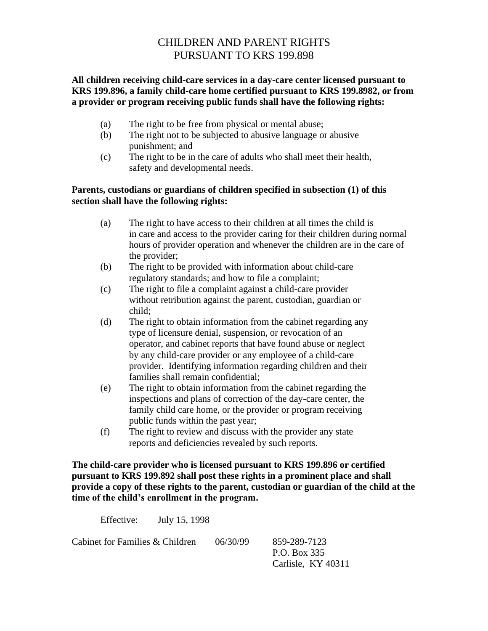# CHILDREN AND PARENT RIGHTS PURSUANT TO KRS 199.898

# **All children receiving child-care services in a day-care center licensed pursuant to KRS 199.896, a family child-care home certified pursuant to KRS 199.8982, or from a provider or program receiving public funds shall have the following rights:**

- (a) The right to be free from physical or mental abuse;
- (b) The right not to be subjected to abusive language or abusive punishment; and
- (c) The right to be in the care of adults who shall meet their health, safety and developmental needs.

## **Parents, custodians or guardians of children specified in subsection (1) of this section shall have the following rights:**

- (a) The right to have access to their children at all times the child is in care and access to the provider caring for their children during normal hours of provider operation and whenever the children are in the care of the provider;
- (b) The right to be provided with information about child-care regulatory standards; and how to file a complaint;
- (c) The right to file a complaint against a child-care provider without retribution against the parent, custodian, guardian or child;
- (d) The right to obtain information from the cabinet regarding any type of licensure denial, suspension, or revocation of an operator, and cabinet reports that have found abuse or neglect by any child-care provider or any employee of a child-care provider. Identifying information regarding children and their families shall remain confidential;
- (e) The right to obtain information from the cabinet regarding the inspections and plans of correction of the day-care center, the family child care home, or the provider or program receiving public funds within the past year;
- (f) The right to review and discuss with the provider any state reports and deficiencies revealed by such reports.

**The child-care provider who is licensed pursuant to KRS 199.896 or certified pursuant to KRS 199.892 shall post these rights in a prominent place and shall provide a copy of these rights to the parent, custodian or guardian of the child at the time of the child's enrollment in the program.**

Effective: July 15, 1998

Cabinet for Families & Children 06/30/99 859-289-7123

P.O. Box 335 Carlisle, KY 40311